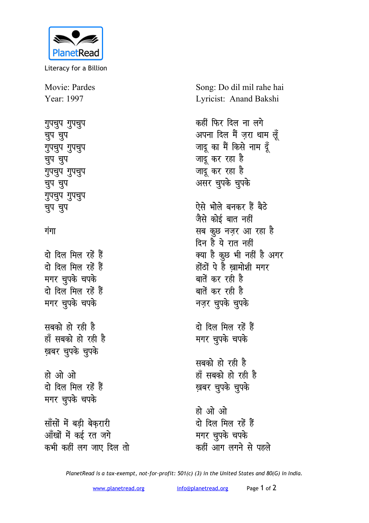

Literacy for a Billion

Movie: Pardes Year: 1997

गुपचुप गुपचुप **pqi pqi गुपचुप** गुपचुप **pqi pqi गुपचुप** गुपचुप **pqi pqi गुपचुप** गुपचुप **pqi pqi**

## <u>गंगा</u>

<u>दो दिल मिल रहें हैं</u> <u>दो दिल मिल रहें हैं</u> **मगर चुपके चपके** <u>दो दिल मिल रहें हैं</u> **मगर चुपके चपके** सबको हो रही है हाँ सबको हो रही ह<del>ै</del> **ख़बर चुपके चुपके** हो ओ ओ <u>दो दिल मिल रहें हैं</u> **मगर चुपके चपके सॉंसों में बडी बेकरारी** <u>आँखों में कई रत जगे</u> कभी कहीं लग जाए दिल तो Song: Do dil mil rahe hai Lyricist: Anand Bakshi

कहीं फिर दिल ना ल**गे** अपना दिल मैं ज़रा थाम ल<u>ूँ</u> जादू का मैं किसे नाम दू<mark>ँ</mark> जादू कर रहा है जादु कर रहा है असर चुपके चुपके

ऐसे भोले बनकर हैं बैठ<mark>े</mark> <u>जैसे कोई बात नहीं</u> सब कुछ नज़र आ रहा ह<del>ै</del> <u>दिन हैं</u> ये रात नहीं क्या है कुछ भी नहीं है अगर होंठों पे हैं खामोशी मगर बातें कर रही है बातें कर रही है **नज़र चुपके** चुपके

<u>दो दिल मिल रहें हैं</u> **मगर चुपके चपके** 

सबको हो रही है हाँ सबको हो रही ह<del>ै</del> **ख़बर चुपके चुपके** 

हो ओ ओ <u>दो</u> दिल मिल रहें हैं **मगर चुपके चपके** कहीं आग लगने से पहले

*PlanetRead is a tax-exempt, not-for-profit: 501(c) (3) in the United States and 80(G) in India.*